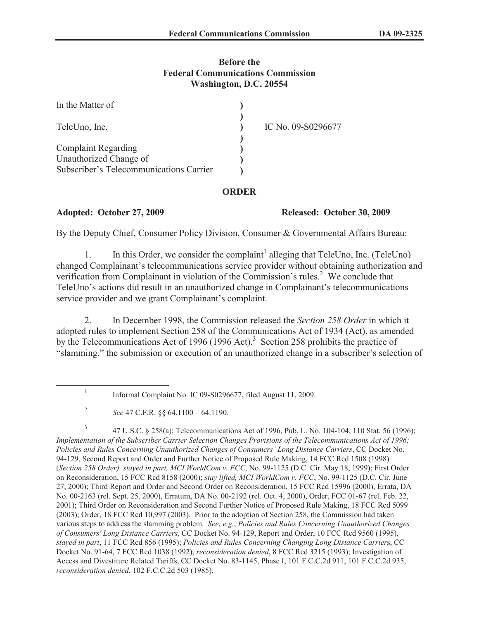# **Before the Federal Communications Commission Washington, D.C. 20554**

| In the Matter of                                     |                    |
|------------------------------------------------------|--------------------|
| TeleUno, Inc.                                        | IC No. 09-S0296677 |
| <b>Complaint Regarding</b><br>Unauthorized Change of |                    |
| Subscriber's Telecommunications Carrier              |                    |

# **ORDER**

### **Adopted: October 27, 2009 Released: October 30, 2009**

By the Deputy Chief, Consumer Policy Division, Consumer & Governmental Affairs Bureau:

1. In this Order, we consider the complaint<sup>1</sup> alleging that TeleUno, Inc. (TeleUno) changed Complainant's telecommunications service provider without obtaining authorization and verification from Complainant in violation of the Commission's rules.<sup>2</sup> We conclude that TeleUno's actions did result in an unauthorized change in Complainant's telecommunications service provider and we grant Complainant's complaint.

2. In December 1998, the Commission released the *Section 258 Order* in which it adopted rules to implement Section 258 of the Communications Act of 1934 (Act), as amended by the Telecommunications Act of 1996 (1996 Act).<sup>3</sup> Section 258 prohibits the practice of "slamming," the submission or execution of an unauthorized change in a subscriber's selection of

3 47 U.S.C. § 258(a); Telecommunications Act of 1996, Pub. L. No. 104-104, 110 Stat. 56 (1996); *Implementation of the Subscriber Carrier Selection Changes Provisions of the Telecommunications Act of 1996; Policies and Rules Concerning Unauthorized Changes of Consumers' Long Distance Carriers*, CC Docket No. 94-129, Second Report and Order and Further Notice of Proposed Rule Making, 14 FCC Rcd 1508 (1998) (*Section 258 Order), stayed in part, MCI WorldCom v. FCC*, No. 99-1125 (D.C. Cir. May 18, 1999); First Order on Reconsideration, 15 FCC Rcd 8158 (2000); *stay lifted, MCI WorldCom v. FCC*, No. 99-1125 (D.C. Cir. June 27, 2000); Third Report and Order and Second Order on Reconsideration, 15 FCC Rcd 15996 (2000), Errata, DA No. 00-2163 (rel. Sept. 25, 2000), Erratum, DA No. 00-2192 (rel. Oct. 4, 2000), Order, FCC 01-67 (rel. Feb. 22, 2001); Third Order on Reconsideration and Second Further Notice of Proposed Rule Making, 18 FCC Rcd 5099 (2003); Order, 18 FCC Rcd 10,997 (2003). Prior to the adoption of Section 258, the Commission had taken various steps to address the slamming problem. *See*, *e.g.*, *Policies and Rules Concerning Unauthorized Changes of Consumers' Long Distance Carriers*, CC Docket No. 94-129, Report and Order, 10 FCC Rcd 9560 (1995), *stayed in part*, 11 FCC Rcd 856 (1995); *Policies and Rules Concerning Changing Long Distance Carrier*s, CC Docket No. 91-64, 7 FCC Rcd 1038 (1992), *reconsideration denied*, 8 FCC Rcd 3215 (1993); Investigation of Access and Divestiture Related Tariffs, CC Docket No. 83-1145, Phase I, 101 F.C.C.2d 911, 101 F.C.C.2d 935, *reconsideration denied*, 102 F.C.C.2d 503 (1985).

<sup>1</sup> Informal Complaint No. IC 09-S0296677, filed August 11, 2009.

<sup>2</sup> *See* 47 C.F.R. §§ 64.1100 – 64.1190.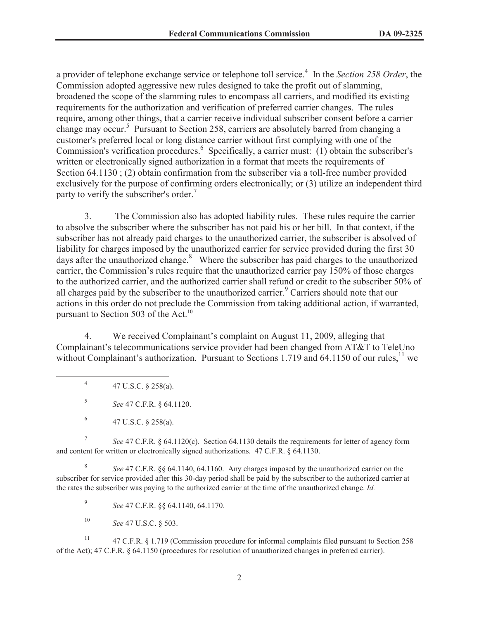a provider of telephone exchange service or telephone toll service.<sup>4</sup> In the *Section 258 Order*, the Commission adopted aggressive new rules designed to take the profit out of slamming, broadened the scope of the slamming rules to encompass all carriers, and modified its existing requirements for the authorization and verification of preferred carrier changes. The rules require, among other things, that a carrier receive individual subscriber consent before a carrier change may occur.<sup>5</sup> Pursuant to Section 258, carriers are absolutely barred from changing a customer's preferred local or long distance carrier without first complying with one of the Commission's verification procedures.<sup>6</sup> Specifically, a carrier must: (1) obtain the subscriber's written or electronically signed authorization in a format that meets the requirements of Section 64.1130 ; (2) obtain confirmation from the subscriber via a toll-free number provided exclusively for the purpose of confirming orders electronically; or (3) utilize an independent third party to verify the subscriber's order.<sup>7</sup>

3. The Commission also has adopted liability rules. These rules require the carrier to absolve the subscriber where the subscriber has not paid his or her bill. In that context, if the subscriber has not already paid charges to the unauthorized carrier, the subscriber is absolved of liability for charges imposed by the unauthorized carrier for service provided during the first 30 days after the unauthorized change.<sup>8</sup> Where the subscriber has paid charges to the unauthorized carrier, the Commission's rules require that the unauthorized carrier pay 150% of those charges to the authorized carrier, and the authorized carrier shall refund or credit to the subscriber 50% of all charges paid by the subscriber to the unauthorized carrier.<sup>9</sup> Carriers should note that our actions in this order do not preclude the Commission from taking additional action, if warranted, pursuant to Section 503 of the Act.<sup>10</sup>

4. We received Complainant's complaint on August 11, 2009, alleging that Complainant's telecommunications service provider had been changed from AT&T to TeleUno without Complainant's authorization. Pursuant to Sections 1.719 and 64.1150 of our rules, $^{11}$  we

4 47 U.S.C. § 258(a).

5 *See* 47 C.F.R. § 64.1120.

7 *See* 47 C.F.R. § 64.1120(c). Section 64.1130 details the requirements for letter of agency form and content for written or electronically signed authorizations. 47 C.F.R. § 64.1130.

8 *See* 47 C.F.R. §§ 64.1140, 64.1160. Any charges imposed by the unauthorized carrier on the subscriber for service provided after this 30-day period shall be paid by the subscriber to the authorized carrier at the rates the subscriber was paying to the authorized carrier at the time of the unauthorized change. *Id.*

9 *See* 47 C.F.R. §§ 64.1140, 64.1170.

<sup>10</sup> *See* 47 U.S.C. § 503.

<sup>11</sup> 47 C.F.R. § 1.719 (Commission procedure for informal complaints filed pursuant to Section 258 of the Act); 47 C.F.R. § 64.1150 (procedures for resolution of unauthorized changes in preferred carrier).

<sup>6</sup> 47 U.S.C. § 258(a).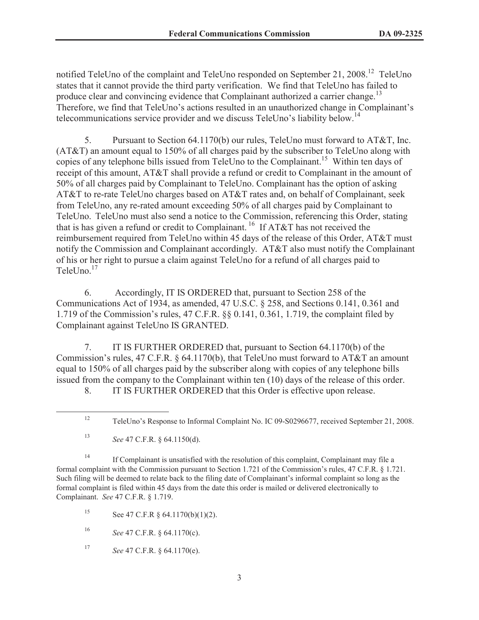notified TeleUno of the complaint and TeleUno responded on September 21, 2008.<sup>12</sup> TeleUno states that it cannot provide the third party verification. We find that TeleUno has failed to produce clear and convincing evidence that Complainant authorized a carrier change.<sup>13</sup> Therefore, we find that TeleUno's actions resulted in an unauthorized change in Complainant's telecommunications service provider and we discuss TeleUno's liability below.<sup>14</sup>

5. Pursuant to Section 64.1170(b) our rules, TeleUno must forward to AT&T, Inc. (AT&T) an amount equal to 150% of all charges paid by the subscriber to TeleUno along with copies of any telephone bills issued from TeleUno to the Complainant.<sup>15</sup> Within ten days of receipt of this amount, AT&T shall provide a refund or credit to Complainant in the amount of 50% of all charges paid by Complainant to TeleUno. Complainant has the option of asking AT&T to re-rate TeleUno charges based on AT&T rates and, on behalf of Complainant, seek from TeleUno, any re-rated amount exceeding 50% of all charges paid by Complainant to TeleUno. TeleUno must also send a notice to the Commission, referencing this Order, stating that is has given a refund or credit to Complainant.<sup>16</sup> If AT&T has not received the reimbursement required from TeleUno within 45 days of the release of this Order, AT&T must notify the Commission and Complainant accordingly. AT&T also must notify the Complainant of his or her right to pursue a claim against TeleUno for a refund of all charges paid to TeleUno. $17$ 

6. Accordingly, IT IS ORDERED that, pursuant to Section 258 of the Communications Act of 1934, as amended, 47 U.S.C. § 258, and Sections 0.141, 0.361 and 1.719 of the Commission's rules, 47 C.F.R. §§ 0.141, 0.361, 1.719, the complaint filed by Complainant against TeleUno IS GRANTED.

7. IT IS FURTHER ORDERED that, pursuant to Section 64.1170(b) of the Commission's rules, 47 C.F.R. § 64.1170(b), that TeleUno must forward to AT&T an amount equal to 150% of all charges paid by the subscriber along with copies of any telephone bills issued from the company to the Complainant within ten (10) days of the release of this order.

8. IT IS FURTHER ORDERED that this Order is effective upon release.

<sup>14</sup> If Complainant is unsatisfied with the resolution of this complaint, Complainant may file a formal complaint with the Commission pursuant to Section 1.721 of the Commission's rules, 47 C.F.R. § 1.721. Such filing will be deemed to relate back to the filing date of Complainant's informal complaint so long as the formal complaint is filed within 45 days from the date this order is mailed or delivered electronically to Complainant. *See* 47 C.F.R. § 1.719.

15 See 47 C.F.R  $\S$  64.1170(b)(1)(2).

<sup>16</sup> *See* 47 C.F.R. § 64.1170(c).

<sup>17</sup> *See* 47 C.F.R. § 64.1170(e).

<sup>12</sup> TeleUno's Response to Informal Complaint No. IC 09-S0296677, received September 21, 2008.

<sup>13</sup> *See* 47 C.F.R. § 64.1150(d).